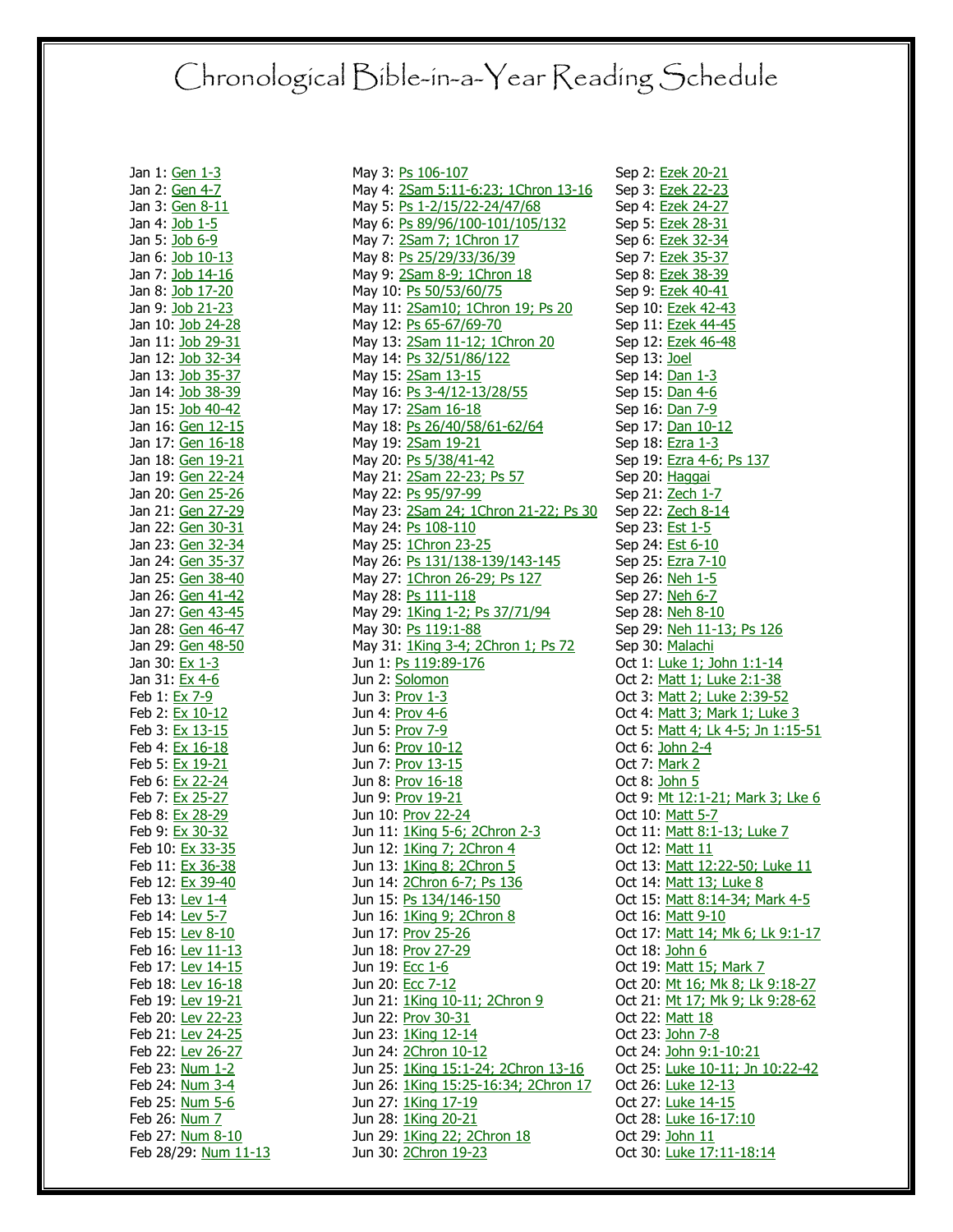## Chronological Bible-in-a-Year Reading Schedule

Jan 1: [Gen 1-3](http://www.biblegateway.com/passage/?version=31&search=gen+1-3) Jan 2: [Gen 4-7](http://www.biblegateway.com/passage/?version=31&search=gen+4-7) Jan 3: [Gen 8-11](http://www.biblegateway.com/passage/?version=31&search=gen+8-11) Jan 4: [Job 1-5](http://www.biblegateway.com/passage/?version=31&search=job+1-5) Jan 5: [Job 6-9](http://www.biblegateway.com/passage/?version=31&search=job+6-9) Jan 6: [Job 10-13](http://www.biblegateway.com/passage/?version=31&search=job+10-13) Jan 7: [Job 14-16](http://www.biblegateway.com/passage/?version=31&search=job+14-16) Jan 8: [Job 17-20](http://www.biblegateway.com/passage/?version=31&search=job+17-20) Jan 9: [Job 21-23](http://www.biblegateway.com/passage/?version=31&search=job+21-23) Jan 10: [Job 24-28](http://www.biblegateway.com/passage/?version=31&search=job+24-28) Jan 11: [Job 29-31](http://www.biblegateway.com/passage/?version=31&search=job+29-31) Jan 12: [Job 32-34](http://www.biblegateway.com/passage/?version=31&search=job+32-34) Jan 13: [Job 35-37](http://www.biblegateway.com/passage/?version=31&search=job+35-37) Jan 14: [Job 38-39](http://www.biblegateway.com/passage/?version=31&search=job+38-39) Jan 15: [Job 40-42](http://www.biblegateway.com/passage/?version=31&search=job+40-42) Jan 16: [Gen 12-15](http://www.biblegateway.com/passage/?version=31&search=gen+12-15) Jan 17: [Gen 16-18](http://www.biblegateway.com/passage/?version=31&search=gen+16-18) Jan 18: [Gen 19-21](http://www.biblegateway.com/passage/?version=31&search=gen+19-21) Jan 19: [Gen 22-24](http://www.biblegateway.com/passage/?version=31&search=gen+22-24) Jan 20: [Gen 25-26](http://www.biblegateway.com/passage/?version=31&search=gen+25-26) Jan 21: [Gen 27-29](http://www.biblegateway.com/passage/?version=31&search=gen+27-29) Jan 22: [Gen 30-31](http://www.biblegateway.com/passage/?version=31&search=gen+30-31) Jan 23: [Gen 32-34](http://www.biblegateway.com/passage/?version=31&search=gen+32-34) Jan 24: [Gen 35-37](http://www.biblegateway.com/passage/?version=31&search=gen+35-37) Jan 25: [Gen 38-40](http://www.biblegateway.com/passage/?version=31&search=gen+38-40) Jan 26: [Gen 41-42](http://www.biblegateway.com/passage/?version=31&search=gen+41-42) Jan 27: [Gen 43-45](http://www.biblegateway.com/passage/?version=31&search=gen+43-45) Jan 28: [Gen 46-47](http://www.biblegateway.com/passage/?version=31&search=gen+46-47) Jan 29: [Gen 48-50](http://www.biblegateway.com/passage/?version=31&search=gen+48-50) Jan 30: [Ex 1-3](http://www.biblegateway.com/passage/?version=31&search=ex+1-3) Jan 31: [Ex 4-6](http://www.biblegateway.com/passage/?version=31&search=ex+4-6) Feb 1: [Ex 7-9](http://www.biblegateway.com/passage/?version=31&search=ex+7-9) Feb 2: [Ex 10-12](http://www.biblegateway.com/passage/?version=31&search=ex+10-12) Feb 3: [Ex 13-15](http://www.biblegateway.com/passage/?version=31&search=ex+13-15) Feb 4: [Ex 16-18](http://www.biblegateway.com/passage/?version=31&search=ex+16-18) Feb 5: [Ex 19-21](http://www.biblegateway.com/passage/?version=31&search=ex+19-21) Feb 6: [Ex 22-24](http://www.biblegateway.com/passage/?version=31&search=ex+22-24) Feb 7: [Ex 25-27](http://www.biblegateway.com/passage/?version=31&search=ex+25-27) Feb 8: [Ex 28-29](http://www.biblegateway.com/passage/?version=31&search=ex+28-29) Feb 9: [Ex 30-32](http://www.biblegateway.com/passage/?version=31&search=ex+30-32) Feb 10: [Ex 33-35](http://www.biblegateway.com/passage/?version=31&search=ex+33-35) Feb 11: [Ex 36-38](http://www.biblegateway.com/passage/?version=31&search=ex+36-38) Feb 12: [Ex 39-40](http://www.biblegateway.com/passage/?version=31&search=ex+39-40) Feb 13: [Lev 1-4](http://www.biblegateway.com/passage/?version=31&search=lev+1-4) Feb 14: [Lev 5-7](http://www.biblegateway.com/passage/?version=31&search=lev+5-7) Feb 15: [Lev 8-10](http://www.biblegateway.com/passage/?version=31&search=lev+8-10) Feb 16: [Lev 11-13](http://www.biblegateway.com/passage/?version=31&search=lev+11-13) Feb 17: [Lev 14-15](http://www.biblegateway.com/passage/?version=31&search=lev+14-15) Feb 18: [Lev 16-18](http://www.biblegateway.com/passage/?version=31&search=lev+16-18) Feb 19: [Lev 19-21](http://www.biblegateway.com/passage/?version=31&search=lev+19-21) Feb 20: [Lev 22-23](http://www.biblegateway.com/passage/?version=31&search=lev+22-23) Feb 21: [Lev 24-25](http://www.biblegateway.com/passage/?version=31&search=lev+24-25) Feb 22: [Lev 26-27](http://www.biblegateway.com/passage/?version=31&search=lev+26-27) Feb 23: [Num 1-2](http://www.biblegateway.com/passage/?version=31&search=num+1-2) Feb 24: [Num 3-4](http://www.biblegateway.com/passage/?version=31&search=num+3-4) Feb 25: [Num 5-6](http://www.biblegateway.com/passage/?version=31&search=num+5-6) Feb 26: <u>Num 7</u> Feb 27: [Num 8-10](http://www.biblegateway.com/passage/?version=31&search=num+8-10) Feb 28/29: [Num 11-13](http://www.biblegateway.com/passage/?version=31&search=num+11-13)

May 3: [Ps 106-107](http://www.biblegateway.com/passage/?version=31&search=ps+106-107) May 4: [2Sam 5:11-6:23; 1Chron 13-16](http://www.biblegateway.com/passage/?version=31&search=2sam+5:11-6:23,1chron+13-16) Sep 3: [Ezek 22-23](http://www.biblegateway.com/passage/?version=31&search=ezek+22-23) May 5: [Ps 1-2/15/22-24/47/68](http://www.biblegateway.com/passage/?version=31&search=ps+1-2,ps+15,ps+22-24,ps+47,ps+68) May 6: [Ps 89/96/100-101/105/132](http://www.biblegateway.com/passage/?version=31&search=ps+89,ps+96,ps+100-101,ps+105,ps+132) May 7: [2Sam 7; 1Chron 17](http://www.biblegateway.com/passage/?version=31&search=2sam+7,1chron+17) May 8: [Ps 25/29/33/36/39](http://www.biblegateway.com/passage/?version=31&search=ps+25,ps+29,ps+33,ps+36,ps+39) May 9: [2Sam 8-9; 1Chron 18](http://www.biblegateway.com/passage/?version=31&search=2sam+8-9,1chron+18) May 10: [Ps 50/53/60/75](http://www.biblegateway.com/passage/?version=31&search=ps+50,ps+53,ps+60,ps+75) May 11: [2Sam10; 1Chron 19; Ps 20](http://www.biblegateway.com/passage/?version=31&search=2sam+10,1chron+19,ps+20) May 12: <u>Ps 65-67/69-70</u> May 13: [2Sam 11-12; 1Chron 20](http://www.biblegateway.com/passage/?version=31&search=2sam+11-12,1chron+20) May 14: [Ps 32/51/86/122](http://www.biblegateway.com/passage/?version=31&search=ps+32,ps+51,ps+86,ps+122) May 15: [2Sam](http://www.biblegateway.com/passage/?version=31&search=2sam+13-15) 13-15 May 16: [Ps 3-4/12-13/28/55](http://www.biblegateway.com/passage/?version=31&search=ps+3-4,ps+12-13,ps+28,ps+55) May 17: [2Sam 16-18](http://www.biblegateway.com/passage/?version=31&search=2sam+16-18) May 18: [Ps 26/40/58/61-62/64](http://www.biblegateway.com/passage/?version=31&search=ps+26,ps+40,ps+58,ps+61-62,ps+64) May 19: [2Sam 19-21](http://www.biblegateway.com/passage/?version=31&search=2sam+19-21) May 20: [Ps 5/38/41-42](http://www.biblegateway.com/passage/?version=31&search=ps+5,ps+38,ps+41-42) May 21: [2Sam 22-23; Ps 57](http://www.biblegateway.com/passage/?version=31&search=2sam+22-23,ps+57) May 22: [Ps 95/97-99](http://www.biblegateway.com/passage/?version=31&search=ps+95,ps+97-99) May 23: [2Sam 24; 1Chron 21-22; Ps 30](http://www.biblegateway.com/passage/?version=31&search=2sam+24,1chron+21-22,ps+30) May 24: [Ps 108-110](http://www.biblegateway.com/passage/?version=31&search=ps+108-110) May 25: [1Chron 23-25](http://www.biblegateway.com/passage/?version=31&search=1chron+23-25) May 26: [Ps 131/138-139/143-145](http://www.biblegateway.com/passage/?version=31&search=ps+131,ps+138-139,ps+143-145) May 27: [1Chron 26-29; Ps 127](http://www.biblegateway.com/passage/?version=31&search=1chron+26-29,ps+127) May 28: [Ps 111-118](http://www.biblegateway.com/passage/?version=31&search=ps+111-118) May 29: [1King 1-2; Ps 37/71/94](http://www.biblegateway.com/passage/?version=31&search=1king+1-2,ps+37,ps+71,ps+94) May 30: [Ps 119:1-88](http://www.biblegateway.com/passage/?version=31&search=ps+119:1-88) May 31: [1King 3-4; 2Chron 1; Ps 72](http://www.biblegateway.com/passage/?version=31&search=1king+3-4,2chron+1,ps+72) Jun 1: **Ps 119:89-176** Jun 2: [Solomon](http://www.biblegateway.com/passage/?version=31&search=solomon+1-8) Jun 3: **Prov 1-3** Jun 4: [Prov 4-6](http://www.biblegateway.com/passage/?version=31&search=prov+4-6) Jun 5: [Prov 7-9](http://www.biblegateway.com/passage/?version=31&search=prov+7-9) Jun 6: [Prov 10-12](http://www.biblegateway.com/passage/?version=31&search=prov+10-12) Jun 7: [Prov 13-15](http://www.biblegateway.com/passage/?version=31&search=prov+13-15) Jun 8: [Prov 16-18](http://www.biblegateway.com/passage/?version=31&search=prov+16-18) Jun 9: [Prov 19-21](http://www.biblegateway.com/passage/?version=31&search=prov+19-21) Jun 10: [Prov 22-24](http://www.biblegateway.com/passage/?version=31&search=prov+22-24) Jun 11: [1King 5-6; 2Chron 2-3](http://www.biblegateway.com/passage/?version=31&search=1king+5-6,2chron+2-3) Jun 12: [1King 7; 2Chron 4](http://www.biblegateway.com/passage/?version=31&search=1king+7,2chron+4) Jun 13: [1King 8; 2Chron 5](http://www.biblegateway.com/passage/?version=31&search=1king+8,2chron+5) Jun 14: [2Chron 6-7; Ps 136](http://www.biblegateway.com/passage/?version=31&search=2chron+6-7,ps+136) Jun 15: [Ps 134/146-150](http://www.biblegateway.com/passage/?version=31&search=ps+134,ps+146-150) Jun 16: [1King 9; 2Chron 8](http://www.biblegateway.com/passage/?version=31&search=1king+9,2chron+8) Jun 17: [Prov 25-26](http://www.biblegateway.com/passage/?version=31&search=prov+25-26) Jun 18: [Prov 27-29](http://www.biblegateway.com/passage/?version=31&search=prov+27-29) Jun 19: **Ecc 1-6** Jun 20: [Ecc 7-12](http://www.biblegateway.com/passage/?version=31&search=ecc+7-12) Jun 21: [1King 10-11; 2Chron 9](http://www.biblegateway.com/passage/?version=31&search=1king+10-11,2chron+9) Jun 22: [Prov 30-31](http://www.biblegateway.com/passage/?version=31&search=prov+30-31) Jun 23: [1King 12-14](http://www.biblegateway.com/passage/?version=31&search=1king+12-14) Jun 24: [2Chron 10-12](http://www.biblegateway.com/passage/?version=31&search=2chron+10-12) Jun 25: [1King 15:1-24; 2Chron 13-16](http://www.biblegateway.com/passage/?version=31&search=1king+15:1-24,2chron+13-16) Jun 26: [1King 15:25-16:34; 2Chron 17](http://www.biblegateway.com/passage/?version=31&search=1king+15:25-16:34,2chron+17) Jun 27: [1King 17-19](http://www.biblegateway.com/passage/?version=31&search=1king+17-19) Jun 28: [1King 20-21](http://www.biblegateway.com/passage/?version=31&search=1king+20-21) Jun 29: [1King 22; 2Chron 18](http://www.biblegateway.com/passage/?version=31&search=1king+22,2chron+18) Jun 30: [2Chron 19-23](http://www.biblegateway.com/passage/?version=31&search=2chron+19-23)

Sep 2: [Ezek 20-21](http://www.biblegateway.com/passage/?version=31&search=ezek+20-21) Sep 4: [Ezek 24-27](http://www.biblegateway.com/passage/?version=31&search=ezek+24-27) Sep 5: [Ezek 28-31](http://www.biblegateway.com/passage/?version=31&search=ezek+28-31) Sep 6: [Ezek 32-34](http://www.biblegateway.com/passage/?version=31&search=ezek+32-34) Sep 7: [Ezek 35-37](http://www.biblegateway.com/passage/?version=31&search=ezek+35-37) Sep 8: [Ezek 38-39](http://www.biblegateway.com/passage/?version=31&search=ezek+38-39) Sep 9: [Ezek 40-41](http://www.biblegateway.com/passage/?version=31&search=ezek+40-41) Sep 10: **Ezek 42-43** Sep 11: [Ezek 44-45](http://www.biblegateway.com/passage/?version=31&search=ezek+44-45) Sep 12: [Ezek 46-48](http://www.biblegateway.com/passage/?version=31&search=ezek+46-48) Sep 13: **Joel** Sep 14: [Dan 1-3](http://www.biblegateway.com/passage/?version=31&search=dan+1-3) Sep 15: [Dan 4-6](http://www.biblegateway.com/passage/?version=31&search=dan+4-6) Sep 16: [Dan 7-9](http://www.biblegateway.com/passage/?version=31&search=dan+7-9) Sep 17: [Dan 10-12](http://www.biblegateway.com/passage/?version=31&search=dan+10-12) Sep 18: [Ezra 1-3](http://www.biblegateway.com/passage/?version=31&search=ezra+1-3) Sep 19: **Ezra 4-6; Ps 137** Sep 20: [Haggai](http://www.biblegateway.com/passage/?version=31&search=haggai+1-2) Sep 21: [Zech 1-7](http://www.biblegateway.com/passage/?version=31&search=zech+1-7) Sep 22: <u>Zech 8-14</u> Sep 23: **Est 1-5** Sep 24: **Est 6-10** Sep 25: [Ezra 7-10](http://www.biblegateway.com/passage/?version=31&search=ezra+7-10) Sep 26: [Neh 1-5](http://www.biblegateway.com/passage/?version=31&search=neh+1-5) Sep 27: [Neh 6-7](http://www.biblegateway.com/passage/?version=31&search=neh+6-7) Sep 28: [Neh 8-10](http://www.biblegateway.com/passage/?version=31&search=neh+8-10) Sep 29: [Neh 11-13; Ps 126](http://www.biblegateway.com/passage/?version=31&search=neh+11-13,ps+126) Sep 30: [Malachi](http://www.biblegateway.com/passage/?version=31&search=malachi+1-4) Oct 1: **Luke 1; John 1:1-14** Oct 2: [Matt 1; Luke 2:1-38](http://www.biblegateway.com/passage/?version=31&search=matt+1,luke+2:1-38) Oct 3: [Matt 2; Luke 2:39-52](http://www.biblegateway.com/passage/?version=31&search=matt+2,luke+2:39-52) Oct 4: [Matt 3; Mark 1; Luke 3](http://www.biblegateway.com/passage/?version=31&search=matt+3,mark+1,luke+3) Oct 5: [Matt 4; Lk 4-5; Jn 1:15-51](http://www.biblegateway.com/passage/?version=31&search=matt+4,luke+4-5,john+1:15-51) Oct 6: [John 2-4](http://www.biblegateway.com/passage/?version=31&search=john+2-4) Oct 7: [Mark 2](http://www.biblegateway.com/passage/?version=31&search=mark+2) Oct 8: [John 5](http://www.biblegateway.com/passage/?version=31&search=john+5) Oct 9: [Mt 12:1-21; Mark 3; Lke 6](http://www.biblegateway.com/passage/?version=31&search=matt+12:1-21,mark+3,luke+6) Oct 10: [Matt 5-7](http://www.biblegateway.com/passage/?version=31&search=matt+5-7) Oct 11: [Matt 8:1-13; Luke 7](http://www.biblegateway.com/passage/?version=31&search=matt+8:1-13,luke+7) Oct 12: [Matt 11](http://www.biblegateway.com/passage/?version=31&search=matt+11) Oct 13: [Matt 12:22-50; Luke 11](http://www.biblegateway.com/passage/?version=31&search=matt+12:22-50,luke+11) Oct 14: Matt [13; Luke 8](http://www.biblegateway.com/passage/?version=31&search=matt+13,luke+8) Oct 15: [Matt 8:14-34; Mark 4-5](http://www.biblegateway.com/passage/?version=31&search=matt+8:14-34,mark+4-5) Oct 16: [Matt 9-10](http://www.biblegateway.com/passage/?version=31&search=matt+9-10) Oct 17: [Matt 14; Mk 6; Lk](http://www.biblegateway.com/passage/?version=31&search=matt+14,mark+6,luke+9:1-17) 9:1-17 Oct 18: [John 6](http://www.biblegateway.com/passage/?version=31&search=john+6) Oct 19: [Matt 15; Mark 7](http://www.biblegateway.com/passage/?version=31&search=matt+15,mark+7) Oct 20: [Mt 16; Mk 8; Lk 9:18-27](http://www.biblegateway.com/passage/?version=31&search=matt+16,mark+8,luke+9:18-27) Oct 21: [Mt 17; Mk 9; Lk](http://www.biblegateway.com/passage/?version=31&search=matt+17,mark+9,luke+9:28-62) 9:28-62 Oct 22: [Matt 18](http://www.biblegateway.com/passage/?version=31&search=matt+18) Oct 23: [John 7-8](http://www.biblegateway.com/passage/?version=31&search=john+7-8) Oct 24: [John 9:1-10:21](http://www.biblegateway.com/passage/?version=31&search=john+9:1-10:21) Oct 25: [Luke 10-11; Jn 10:22-42](http://www.biblegateway.com/passage/?version=31&search=luke+10-11,john+10:22-42) Oct 26: **Luke 12-13** Oct 27: [Luke 14-15](http://www.biblegateway.com/passage/?version=31&search=luke+14-15) Oct 28: **Luke 16-17:10** Oct 29: [John 11](http://www.biblegateway.com/passage/?version=31&search=john+11) Oct 30: [Luke 17:11-18:14](http://www.biblegateway.com/passage/?version=31&search=luke+17:11-18:14)